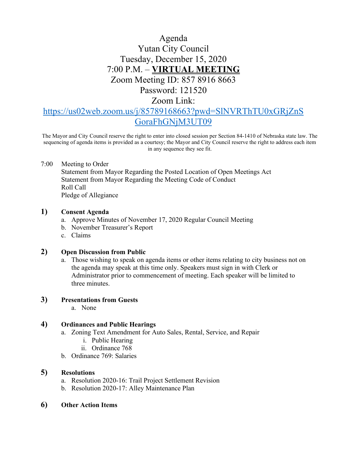# Agenda Yutan City Council Tuesday, December 15, 2020 7:00 P.M. – **VIRTUAL MEETING** Zoom Meeting ID: 857 8916 8663 Password: 121520

Zoom Link:

# [https://us02web.zoom.us/j/85789168663?pwd=SlNVRThTU0xGRjZnS](https://us02web.zoom.us/j/85789168663?pwd=SlNVRThTU0xGRjZnSGoraFhGNjM3UT09) [GoraFhGNjM3UT09](https://us02web.zoom.us/j/85789168663?pwd=SlNVRThTU0xGRjZnSGoraFhGNjM3UT09)

The Mayor and City Council reserve the right to enter into closed session per Section 84-1410 of Nebraska state law. The sequencing of agenda items is provided as a courtesy; the Mayor and City Council reserve the right to address each item in any sequence they see fit.

### 7:00 Meeting to Order

Statement from Mayor Regarding the Posted Location of Open Meetings Act Statement from Mayor Regarding the Meeting Code of Conduct Roll Call Pledge of Allegiance

## **1) Consent Agenda**

- a. Approve Minutes of November 17, 2020 Regular Council Meeting
- b. November Treasurer's Report
- c. Claims

### **2) Open Discussion from Public**

a. Those wishing to speak on agenda items or other items relating to city business not on the agenda may speak at this time only. Speakers must sign in with Clerk or Administrator prior to commencement of meeting. Each speaker will be limited to three minutes.

### **3) Presentations from Guests**

a. None

## **4) Ordinances and Public Hearings**

- a. Zoning Text Amendment for Auto Sales, Rental, Service, and Repair
	- i. Public Hearing
	- ii. Ordinance 768
- b. Ordinance 769: Salaries

## **5) Resolutions**

- a. Resolution 2020-16: Trail Project Settlement Revision
- b. Resolution 2020-17: Alley Maintenance Plan
- **6) Other Action Items**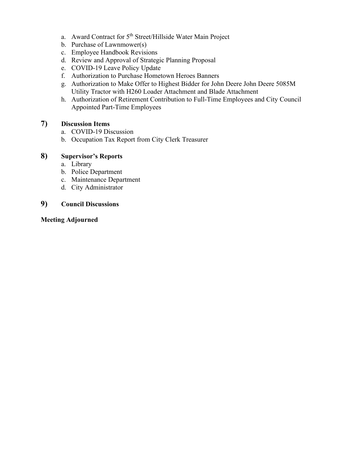- a. Award Contract for 5<sup>th</sup> Street/Hillside Water Main Project
- b. Purchase of Lawnmower(s)
- c. Employee Handbook Revisions
- d. Review and Approval of Strategic Planning Proposal
- e. COVID-19 Leave Policy Update
- f. Authorization to Purchase Hometown Heroes Banners
- g. Authorization to Make Offer to Highest Bidder for John Deere John Deere 5085M Utility Tractor with H260 Loader Attachment and Blade Attachment
- h. Authorization of Retirement Contribution to Full-Time Employees and City Council Appointed Part-Time Employees

# **7) Discussion Items**

- a. COVID-19 Discussion
- b. Occupation Tax Report from City Clerk Treasurer

## **8) Supervisor's Reports**

- a. Library
- b. Police Department
- c. Maintenance Department
- d. City Administrator

# **9) Council Discussions**

### **Meeting Adjourned**